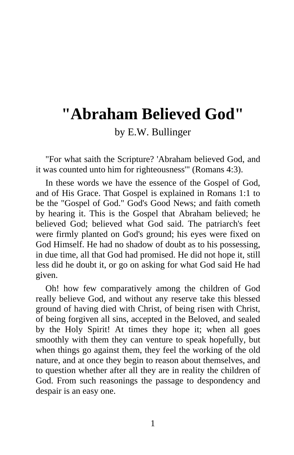## **"Abraham Believed God"**

by E.W. Bullinger

"For what saith the Scripture? 'Abraham believed God, and it was counted unto him for righteousness'" (Romans 4:3).

In these words we have the essence of the Gospel of God, and of His Grace. That Gospel is explained in Romans 1:1 to be the "Gospel of God." God's Good News; and faith cometh by hearing it. This is the Gospel that Abraham believed; he believed God; believed what God said. The patriarch's feet were firmly planted on God's ground; his eyes were fixed on God Himself. He had no shadow of doubt as to his possessing, in due time, all that God had promised. He did not hope it, still less did he doubt it, or go on asking for what God said He had given.

Oh! how few comparatively among the children of God really believe God, and without any reserve take this blessed ground of having died with Christ, of being risen with Christ, of being forgiven all sins, accepted in the Beloved, and sealed by the Holy Spirit! At times they hope it; when all goes smoothly with them they can venture to speak hopefully, but when things go against them, they feel the working of the old nature, and at once they begin to reason about themselves, and to question whether after all they are in reality the children of God. From such reasonings the passage to despondency and despair is an easy one.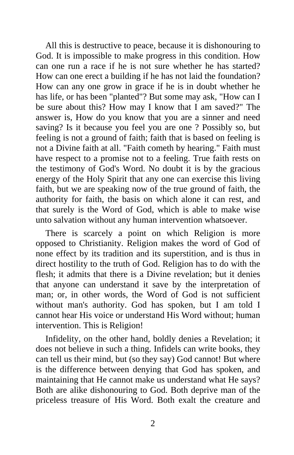All this is destructive to peace, because it is dishonouring to God. It is impossible to make progress in this condition. How can one run a race if he is not sure whether he has started? How can one erect a building if he has not laid the foundation? How can any one grow in grace if he is in doubt whether he has life, or has been "planted"? But some may ask, "How can I be sure about this? How may I know that I am saved?" The answer is, How do you know that you are a sinner and need saving? Is it because you feel you are one ? Possibly so, but feeling is not a ground of faith; faith that is based on feeling is not a Divine faith at all. "Faith cometh by hearing." Faith must have respect to a promise not to a feeling. True faith rests on the testimony of God's Word. No doubt it is by the gracious energy of the Holy Spirit that any one can exercise this living faith, but we are speaking now of the true ground of faith, the authority for faith, the basis on which alone it can rest, and that surely is the Word of God, which is able to make wise unto salvation without any human intervention whatsoever.

There is scarcely a point on which Religion is more opposed to Christianity. Religion makes the word of God of none effect by its tradition and its superstition, and is thus in direct hostility to the truth of God. Religion has to do with the flesh; it admits that there is a Divine revelation; but it denies that anyone can understand it save by the interpretation of man; or, in other words, the Word of God is not sufficient without man's authority. God has spoken, but I am told I cannot hear His voice or understand His Word without; human intervention. This is Religion!

Infidelity, on the other hand, boldly denies a Revelation; it does not believe in such a thing. Infidels can write books, they can tell us their mind, but (so they say) God cannot! But where is the difference between denying that God has spoken, and maintaining that He cannot make us understand what He says? Both are alike dishonouring to God. Both deprive man of the priceless treasure of His Word. Both exalt the creature and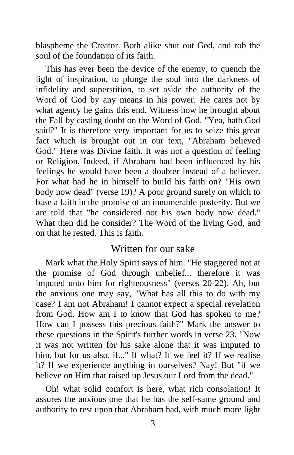blaspheme the Creator. Both alike shut out God, and rob the soul of the foundation of its faith.

This has ever been the device of the enemy, to quench the light of inspiration, to plunge the soul into the darkness of infidelity and superstition, to set aside the authority of the Word of God by any means in his power. He cares not by what agency he gains this end. Witness how he brought about the Fall by casting doubt on the Word of God. "Yea, hath God said?" It is therefore very important for us to seize this great fact which is brought out in our text, "Abraham believed God." Here was Divine faith. It was not a question of feeling or Religion. Indeed, if Abraham had been influenced by his feelings he would have been a doubter instead of a believer. For what had he in himself to build his faith on? "His own body now dead" (verse 19)? A poor ground surely on which to base a faith in the promise of an innumerable posterity. But we are told that "he considered not his own body now dead." What then did he consider? The Word of the living God, and on that he rested. This is faith.

## Written for our sake

Mark what the Holy Spirit says of him. "He staggered not at the promise of God through unbelief... therefore it was imputed unto him for righteousness" (verses 20-22). Ah, but the anxious one may say, "What has all this to do with my case? I am not Abraham! I cannot expect a special revelation from God. How am I to know that God has spoken to me? How can I possess this precious faith?" Mark the answer to these questions in the Spirit's further words in verse 23. "Now it was not written for his sake alone that it was imputed to him, but for us also, if..." If what? If we feel it? If we realise it? If we experience anything in ourselves? Nay! But "if we believe on Him that raised up Jesus our Lord from the dead."

Oh! what solid comfort is here, what rich consolation! It assures the anxious one that he has the self-same ground and authority to rest upon that Abraham had, with much more light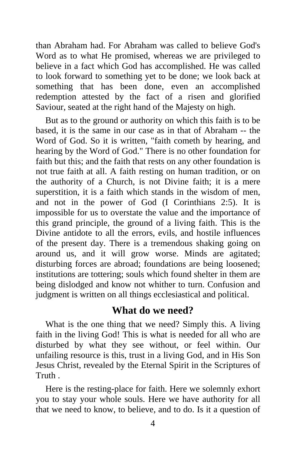than Abraham had. For Abraham was called to believe God's Word as to what He promised, whereas we are privileged to believe in a fact which God has accomplished. He was called to look forward to something yet to be done; we look back at something that has been done, even an accomplished redemption attested by the fact of a risen and glorified Saviour, seated at the right hand of the Majesty on high.

But as to the ground or authority on which this faith is to be based, it is the same in our case as in that of Abraham -- the Word of God. So it is written, "faith cometh by hearing, and hearing by the Word of God." There is no other foundation for faith but this; and the faith that rests on any other foundation is not true faith at all. A faith resting on human tradition, or on the authority of a Church, is not Divine faith; it is a mere superstition, it is a faith which stands in the wisdom of men, and not in the power of God (I Corinthians 2:5). It is impossible for us to overstate the value and the importance of this grand principle, the ground of a living faith. This is the Divine antidote to all the errors, evils, and hostile influences of the present day. There is a tremendous shaking going on around us, and it will grow worse. Minds are agitated; disturbing forces are abroad; foundations are being loosened; institutions are tottering; souls which found shelter in them are being dislodged and know not whither to turn. Confusion and judgment is written on all things ecclesiastical and political.

## **What do we need?**

What is the one thing that we need? Simply this. A living faith in the living God! This is what is needed for all who are disturbed by what they see without, or feel within. Our unfailing resource is this, trust in a living God, and in His Son Jesus Christ, revealed by the Eternal Spirit in the Scriptures of Truth .

Here is the resting-place for faith. Here we solemnly exhort you to stay your whole souls. Here we have authority for all that we need to know, to believe, and to do. Is it a question of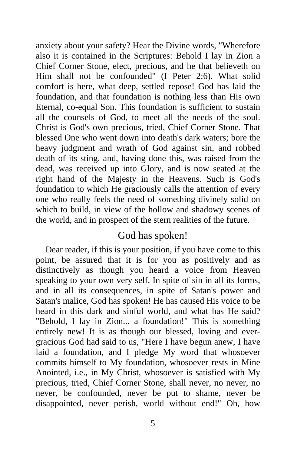anxiety about your safety? Hear the Divine words, "Wherefore also it is contained in the Scriptures: Behold I lay in Zion a Chief Corner Stone, elect, precious, and he that believeth on Him shall not be confounded" (I Peter 2:6). What solid comfort is here, what deep, settled repose! God has laid the foundation, and that foundation is nothing less than His own Eternal, co-equal Son. This foundation is sufficient to sustain all the counsels of God, to meet all the needs of the soul. Christ is God's own precious, tried, Chief Corner Stone. That blessed One who went down into death's dark waters; bore the heavy judgment and wrath of God against sin, and robbed death of its sting, and, having done this, was raised from the dead, was received up into Glory, and is now seated at the right hand of the Majesty in the Heavens. Such is God's foundation to which He graciously calls the attention of every one who really feels the need of something divinely solid on which to build, in view of the hollow and shadowy scenes of the world, and in prospect of the stern realities of the future.

## God has spoken!

Dear reader, if this is your position, if you have come to this point, be assured that it is for you as positively and as distinctively as though you heard a voice from Heaven speaking to your own very self. In spite of sin in all its forms, and in all its consequences, in spite of Satan's power and Satan's malice, God has spoken! He has caused His voice to be heard in this dark and sinful world, and what has He said? "Behold, I lay in Zion... a foundation!" This is something entirely new! It is as though our blessed, loving and evergracious God had said to us, "Here I have begun anew, I have laid a foundation, and I pledge My word that whosoever commits himself to My foundation, whosoever rests in Mine Anointed, i.e., in My Christ, whosoever is satisfied with My precious, tried, Chief Corner Stone, shall never, no never, no never, be confounded, never be put to shame, never be disappointed, never perish, world without end!" Oh, how